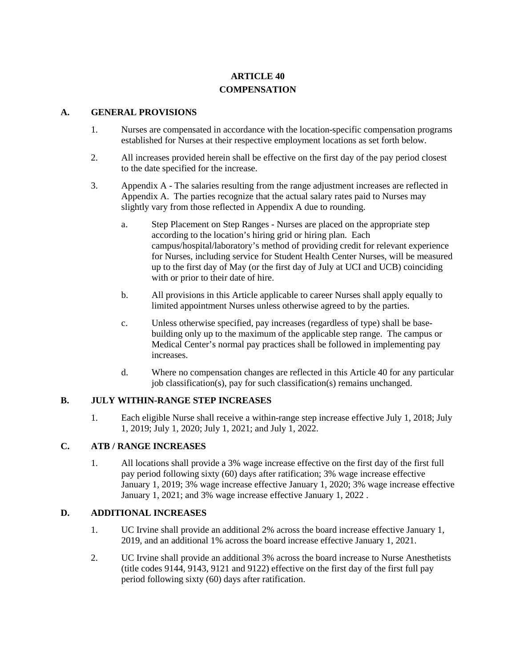# **ARTICLE 40 COMPENSATION**

#### **A. GENERAL PROVISIONS**

- 1. Nurses are compensated in accordance with the location-specific compensation programs established for Nurses at their respective employment locations as set forth below.
- 2. All increases provided herein shall be effective on the first day of the pay period closest to the date specified for the increase.
- 3. Appendix A The salaries resulting from the range adjustment increases are reflected in Appendix A. The parties recognize that the actual salary rates paid to Nurses may slightly vary from those reflected in Appendix A due to rounding.
	- a. Step Placement on Step Ranges Nurses are placed on the appropriate step according to the location's hiring grid or hiring plan. Each campus/hospital/laboratory's method of providing credit for relevant experience for Nurses, including service for Student Health Center Nurses, will be measured up to the first day of May (or the first day of July at UCI and UCB) coinciding with or prior to their date of hire.
	- b. All provisions in this Article applicable to career Nurses shall apply equally to limited appointment Nurses unless otherwise agreed to by the parties.
	- c. Unless otherwise specified, pay increases (regardless of type) shall be basebuilding only up to the maximum of the applicable step range. The campus or Medical Center's normal pay practices shall be followed in implementing pay increases.
	- d. Where no compensation changes are reflected in this Article 40 for any particular job classification(s), pay for such classification(s) remains unchanged.

#### **B. JULY WITHIN-RANGE STEP INCREASES**

1. Each eligible Nurse shall receive a within-range step increase effective July 1, 2018; July 1, 2019; July 1, 2020; July 1, 2021; and July 1, 2022.

#### **C. ATB / RANGE INCREASES**

1. All locations shall provide a 3% wage increase effective on the first day of the first full pay period following sixty (60) days after ratification; 3% wage increase effective January 1, 2019; 3% wage increase effective January 1, 2020; 3% wage increase effective January 1, 2021; and 3% wage increase effective January 1, 2022 .

#### **D. ADDITIONAL INCREASES**

- 1. UC Irvine shall provide an additional 2% across the board increase effective January 1, 2019, and an additional 1% across the board increase effective January 1, 2021.
- 2. UC Irvine shall provide an additional 3% across the board increase to Nurse Anesthetists (title codes 9144, 9143, 9121 and 9122) effective on the first day of the first full pay period following sixty (60) days after ratification.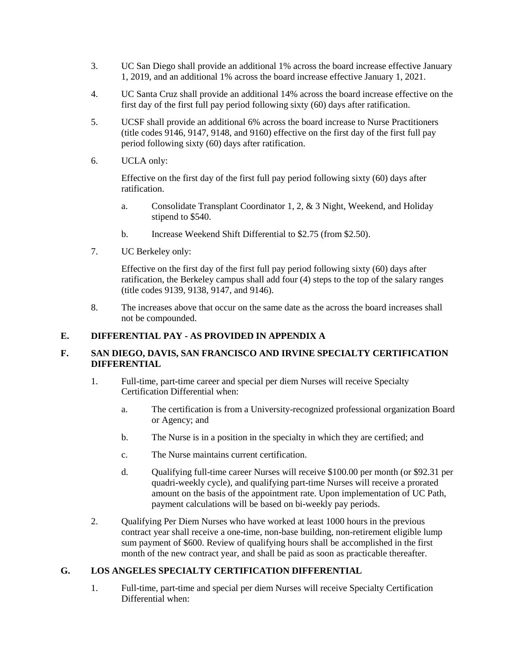- 3. UC San Diego shall provide an additional 1% across the board increase effective January 1, 2019, and an additional 1% across the board increase effective January 1, 2021.
- 4. UC Santa Cruz shall provide an additional 14% across the board increase effective on the first day of the first full pay period following sixty (60) days after ratification.
- 5. UCSF shall provide an additional 6% across the board increase to Nurse Practitioners (title codes 9146, 9147, 9148, and 9160) effective on the first day of the first full pay period following sixty (60) days after ratification.
- 6. UCLA only:

Effective on the first day of the first full pay period following sixty (60) days after ratification.

- a. Consolidate Transplant Coordinator 1, 2, & 3 Night, Weekend, and Holiday stipend to \$540.
- b. Increase Weekend Shift Differential to \$2.75 (from \$2.50).
- 7. UC Berkeley only:

Effective on the first day of the first full pay period following sixty (60) days after ratification, the Berkeley campus shall add four (4) steps to the top of the salary ranges (title codes 9139, 9138, 9147, and 9146).

8. The increases above that occur on the same date as the across the board increases shall not be compounded.

## **E. DIFFERENTIAL PAY - AS PROVIDED IN APPENDIX A**

### **F. SAN DIEGO, DAVIS, SAN FRANCISCO AND IRVINE SPECIALTY CERTIFICATION DIFFERENTIAL**

- 1. Full-time, part-time career and special per diem Nurses will receive Specialty Certification Differential when:
	- a. The certification is from a University-recognized professional organization Board or Agency; and
	- b. The Nurse is in a position in the specialty in which they are certified; and
	- c. The Nurse maintains current certification.
	- d. Qualifying full-time career Nurses will receive \$100.00 per month (or \$92.31 per quadri-weekly cycle), and qualifying part-time Nurses will receive a prorated amount on the basis of the appointment rate. Upon implementation of UC Path, payment calculations will be based on bi-weekly pay periods.
- 2. Qualifying Per Diem Nurses who have worked at least 1000 hours in the previous contract year shall receive a one-time, non-base building, non-retirement eligible lump sum payment of \$600. Review of qualifying hours shall be accomplished in the first month of the new contract year, and shall be paid as soon as practicable thereafter.

#### **G. LOS ANGELES SPECIALTY CERTIFICATION DIFFERENTIAL**

1. Full-time, part-time and special per diem Nurses will receive Specialty Certification Differential when: